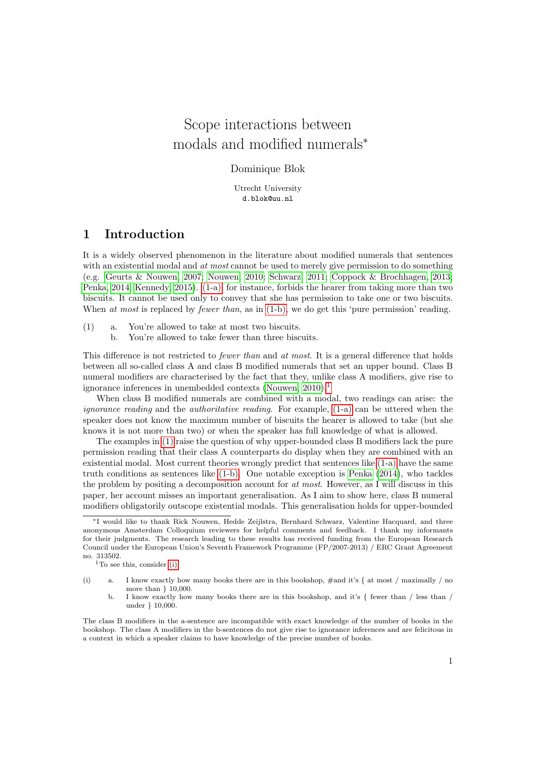# Scope interactions between modals and modified numerals<sup>∗</sup>

### Dominique Blok

Utrecht University d.blok@uu.nl

### 1 Introduction

It is a widely observed phenomenon in the literature about modified numerals that sentences with an existential modal and at most cannot be used to merely give permission to do something (e.g. [Geurts & Nouwen, 2007;](#page-9-0) [Nouwen, 2010;](#page-9-1) [Schwarz, 2011;](#page-9-2) [Coppock & Brochhagen, 2013;](#page-9-3) [Penka, 2014;](#page-9-4) [Kennedy, 2015\)](#page-9-5). [\(1-a\),](#page-0-0) for instance, forbids the hearer from taking more than two biscuits. It cannot be used only to convey that she has permission to take one or two biscuits. When at most is replaced by fewer than, as in  $(1-b)$ , we do get this 'pure permission' reading.

- <span id="page-0-3"></span><span id="page-0-1"></span><span id="page-0-0"></span>(1) a. You're allowed to take at most two biscuits.
	- b. You're allowed to take fewer than three biscuits.

This difference is not restricted to *fewer than* and *at most*. It is a general difference that holds between all so-called class A and class B modified numerals that set an upper bound. Class B numeral modifiers are characterised by the fact that they, unlike class A modifiers, give rise to ignorance inferences in unembedded contexts [\(Nouwen, 2010\)](#page-9-1).<sup>[1](#page-0-2)</sup>

When class B modified numerals are combined with a modal, two readings can arise: the ignorance reading and the authoritative reading. For example, [\(1-a\)](#page-0-0) can be uttered when the speaker does not know the maximum number of biscuits the hearer is allowed to take (but she knows it is not more than two) or when the speaker has full knowledge of what is allowed.

The examples in [\(1\)](#page-0-3) raise the question of why upper-bounded class B modifiers lack the pure permission reading that their class A counterparts do display when they are combined with an existential modal. Most current theories wrongly predict that sentences like [\(1-a\)](#page-0-0) have the same truth conditions as sentences like [\(1-b\).](#page-0-1) One notable exception is [Penka](#page-9-4) [\(2014\)](#page-9-4), who tackles the problem by positing a decomposition account for at most. However, as I will discuss in this paper, her account misses an important generalisation. As I aim to show here, class B numeral modifiers obligatorily outscope existential modals. This generalisation holds for upper-bounded

<sup>∗</sup>I would like to thank Rick Nouwen, Hedde Zeijlstra, Bernhard Schwarz, Valentine Hacquard, and three anonymous Amsterdam Colloquium reviewers for helpful comments and feedback. I thank my informants for their judgments. The research leading to these results has received funding from the European Research Council under the European Union's Seventh Framework Programme (FP/2007-2013) / ERC Grant Agreement no. 313502.

<span id="page-0-2"></span> $1$ To see this, consider [\(i\).](#page-0-4)

<span id="page-0-4"></span><sup>(</sup>i) a. I know exactly how many books there are in this bookshop, #and it's { at most / maximally / no more than } 10,000.

b. I know exactly how many books there are in this bookshop, and it's { fewer than / less than / under } 10,000.

The class B modifiers in the a-sentence are incompatible with exact knowledge of the number of books in the bookshop. The class A modifiers in the b-sentences do not give rise to ignorance inferences and are felicitous in a context in which a speaker claims to have knowledge of the precise number of books.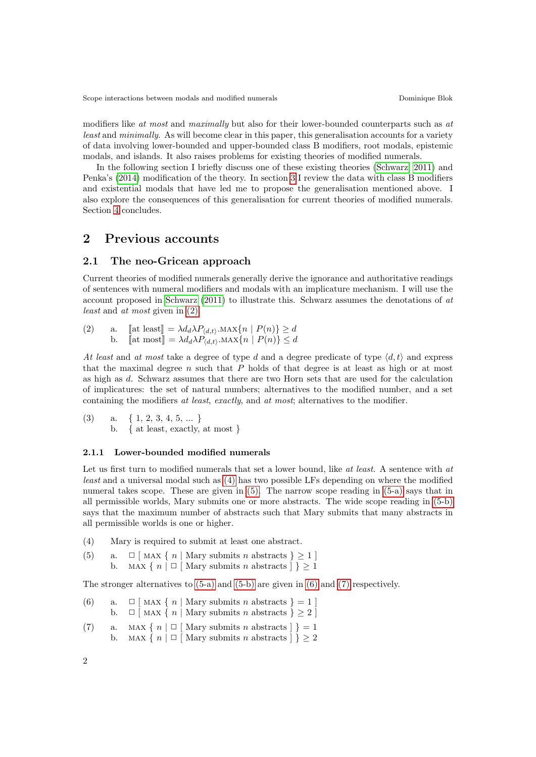modifiers like at most and maximally but also for their lower-bounded counterparts such as at least and minimally. As will become clear in this paper, this generalisation accounts for a variety of data involving lower-bounded and upper-bounded class B modifiers, root modals, epistemic modals, and islands. It also raises problems for existing theories of modified numerals.

In the following section I briefly discuss one of these existing theories [\(Schwarz, 2011\)](#page-9-2) and Penka's [\(2014\)](#page-9-4) modification of the theory. In section [3](#page-4-0) I review the data with class B modifiers and existential modals that have led me to propose the generalisation mentioned above. I also explore the consequences of this generalisation for current theories of modified numerals. Section [4](#page-9-6) concludes.

### 2 Previous accounts

### <span id="page-1-9"></span>2.1 The neo-Gricean approach

Current theories of modified numerals generally derive the ignorance and authoritative readings of sentences with numeral modifiers and modals with an implicature mechanism. I will use the account proposed in [Schwarz](#page-9-2) [\(2011\)](#page-9-2) to illustrate this. Schwarz assumes the denotations of at least and at most given in [\(2\).](#page-1-0)

<span id="page-1-8"></span><span id="page-1-7"></span><span id="page-1-0"></span>(2) a. [at least] = 
$$
\lambda d_d \lambda P_{\langle d,t \rangle} \cdot \text{MAX}\{n \mid P(n)\} \ge d
$$
  
b. [at most] =  $\lambda d_d \lambda P_{\langle d,t \rangle} \cdot \text{MAX}\{n \mid P(n)\} \le d$ 

At least and at most take a degree of type d and a degree predicate of type  $\langle d, t \rangle$  and express that the maximal degree  $n$  such that  $P$  holds of that degree is at least as high or at most as high as d. Schwarz assumes that there are two Horn sets that are used for the calculation of implicatures: the set of natural numbers; alternatives to the modified number, and a set containing the modifiers at least, exactly, and at most; alternatives to the modifier.

(3) a. {  $1, 2, 3, 4, 5, ...$  } b. { at least, exactly, at most }

#### 2.1.1 Lower-bounded modified numerals

Let us first turn to modified numerals that set a lower bound, like at least. A sentence with at least and a universal modal such as [\(4\)](#page-1-1) has two possible LFs depending on where the modified numeral takes scope. These are given in [\(5\).](#page-1-2) The narrow scope reading in [\(5-a\)](#page-1-3) says that in all permissible worlds, Mary submits one or more abstracts. The wide scope reading in [\(5-b\)](#page-1-4) says that the maximum number of abstracts such that Mary submits that many abstracts in all permissible worlds is one or higher.

- <span id="page-1-2"></span><span id="page-1-1"></span>(4) Mary is required to submit at least one abstract.
- <span id="page-1-4"></span><span id="page-1-3"></span>(5) a.  $\Box$  [MAX { n | Mary submits n abstracts }  $\geq 1$  ]
	- b. MAX {  $n \mid \Box$  [ Mary submits n abstracts  $\mid \rbrace \geq 1$

<span id="page-1-5"></span>The stronger alternatives to [\(5-a\)](#page-1-3) and [\(5-b\)](#page-1-4) are given in [\(6\)](#page-1-5) and [\(7\)](#page-1-6) respectively.

- (6) a.  $\Box$  [MAX { n | Mary submits n abstracts } = 1 ] b.  $\Box$  [MAX { n | Mary submits n abstracts } > 2 ]
- <span id="page-1-6"></span>(7) a. MAX {  $n \mid \Box$  | Mary submits n abstracts  $\mid$  } = 1 b. MAX {  $n \mid \Box$  Mary submits n abstracts  $\mid \rbrace > 2$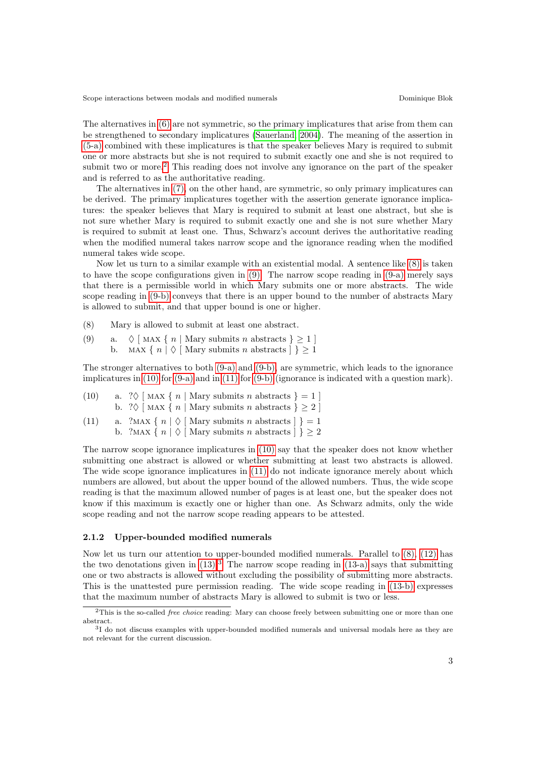The alternatives in [\(6\)](#page-1-5) are not symmetric, so the primary implicatures that arise from them can be strengthened to secondary implicatures [\(Sauerland, 2004\)](#page-9-7). The meaning of the assertion in [\(5-a\)](#page-1-3) combined with these implicatures is that the speaker believes Mary is required to submit one or more abstracts but she is not required to submit exactly one and she is not required to submit two or more.<sup>[2](#page-2-0)</sup> This reading does not involve any ignorance on the part of the speaker and is referred to as the authoritative reading.

The alternatives in [\(7\),](#page-1-6) on the other hand, are symmetric, so only primary implicatures can be derived. The primary implicatures together with the assertion generate ignorance implicatures: the speaker believes that Mary is required to submit at least one abstract, but she is not sure whether Mary is required to submit exactly one and she is not sure whether Mary is required to submit at least one. Thus, Schwarz's account derives the authoritative reading when the modified numeral takes narrow scope and the ignorance reading when the modified numeral takes wide scope.

Now let us turn to a similar example with an existential modal. A sentence like [\(8\)](#page-2-1) is taken to have the scope configurations given in [\(9\).](#page-2-2) The narrow scope reading in [\(9-a\)](#page-2-3) merely says that there is a permissible world in which Mary submits one or more abstracts. The wide scope reading in [\(9-b\)](#page-2-4) conveys that there is an upper bound to the number of abstracts Mary is allowed to submit, and that upper bound is one or higher.

- <span id="page-2-2"></span><span id="page-2-1"></span>(8) Mary is allowed to submit at least one abstract.
- <span id="page-2-4"></span><span id="page-2-3"></span>(9) a.  $\Diamond$  [MAX { n | Mary submits n abstracts }  $\geq$  1 ]
	- b. MAX {  $n | \Diamond$  | Mary submits n abstracts  $| \rbrace \geq 1$

The stronger alternatives to both [\(9-a\)](#page-2-3) and [\(9-b\),](#page-2-4) are symmetric, which leads to the ignorance implicatures in [\(10\)](#page-2-5) for [\(9-a\)](#page-2-3) and in [\(11\)](#page-2-6) for [\(9-b\)](#page-2-4) (ignorance is indicated with a question mark).

<span id="page-2-6"></span><span id="page-2-5"></span>

| (10) | a. $? \Diamond$ [MAX { n   Mary submits n abstracts } = 1 ]<br>b. $? \Diamond$ [MAX { n   Mary submits n abstracts } $\geq 2$ ]                   |
|------|---------------------------------------------------------------------------------------------------------------------------------------------------|
| (11) | a. $?MAX \{ n   \Diamond \text{[Mary submits } n \text{ abstracts } \} \} = 1$<br>b. $?MAX \{ n   \Diamond [Mary submits n abstracts ] \} \geq 2$ |

The narrow scope ignorance implicatures in [\(10\)](#page-2-5) say that the speaker does not know whether submitting one abstract is allowed or whether submitting at least two abstracts is allowed. The wide scope ignorance implicatures in [\(11\)](#page-2-6) do not indicate ignorance merely about which numbers are allowed, but about the upper bound of the allowed numbers. Thus, the wide scope reading is that the maximum allowed number of pages is at least one, but the speaker does not know if this maximum is exactly one or higher than one. As Schwarz admits, only the wide scope reading and not the narrow scope reading appears to be attested.

#### 2.1.2 Upper-bounded modified numerals

Now let us turn our attention to upper-bounded modified numerals. Parallel to [\(8\),](#page-2-1) [\(12\)](#page-2-7) has the two denotations given in  $(13)$  $(13)$  $(13)$ .<sup>3</sup> The narrow scope reading in  $(13-a)$  says that submitting one or two abstracts is allowed without excluding the possibility of submitting more abstracts. This is the unattested pure permission reading. The wide scope reading in [\(13-b\)](#page-3-2) expresses that the maximum number of abstracts Mary is allowed to submit is two or less.

<span id="page-2-7"></span><span id="page-2-0"></span><sup>&</sup>lt;sup>2</sup>This is the so-called *free choice* reading: Mary can choose freely between submitting one or more than one abstract.

<span id="page-2-8"></span><sup>&</sup>lt;sup>3</sup>I do not discuss examples with upper-bounded modified numerals and universal modals here as they are not relevant for the current discussion.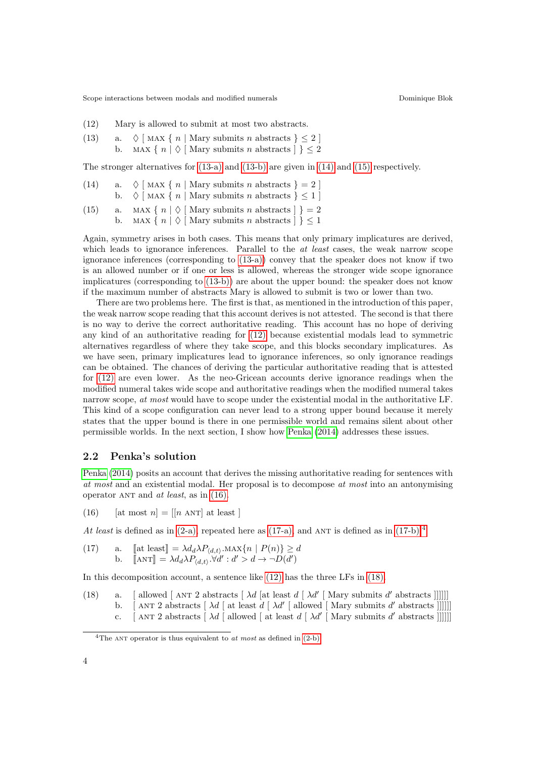- <span id="page-3-0"></span>(12) Mary is allowed to submit at most two abstracts.
- <span id="page-3-2"></span><span id="page-3-1"></span>(13) a.  $\Diamond$  [MAX { n | Mary submits n abstracts } < 2 ] b. MAX {  $n | \Diamond$  | Mary submits n abstracts  $| \rbrace \leq 2$

The stronger alternatives for [\(13-a\)](#page-3-1) and [\(13-b\)](#page-3-2) are given in [\(14\)](#page-3-3) and [\(15\)](#page-3-4) respectively.

- <span id="page-3-3"></span>(14) a.  $\Diamond$  [MAX { n | Mary submits n abstracts } = 2 ] b.  $\Diamond$  [MAX { n | Mary submits n abstracts } < 1 ]
- <span id="page-3-4"></span>(15) a. MAX {  $n | \Diamond$  [ Mary submits n abstracts  $|$ } = 2
	- b. MAX {  $n | \Diamond$  Mary submits n abstracts  $| \Diamond \subseteq 1$

Again, symmetry arises in both cases. This means that only primary implicatures are derived, which leads to ignorance inferences. Parallel to the *at least* cases, the weak narrow scope ignorance inferences (corresponding to [\(13-a\)\)](#page-3-1) convey that the speaker does not know if two is an allowed number or if one or less is allowed, whereas the stronger wide scope ignorance implicatures (corresponding to [\(13-b\)\)](#page-3-2) are about the upper bound: the speaker does not know if the maximum number of abstracts Mary is allowed to submit is two or lower than two.

There are two problems here. The first is that, as mentioned in the introduction of this paper, the weak narrow scope reading that this account derives is not attested. The second is that there is no way to derive the correct authoritative reading. This account has no hope of deriving any kind of an authoritative reading for [\(12\)](#page-2-7) because existential modals lead to symmetric alternatives regardless of where they take scope, and this blocks secondary implicatures. As we have seen, primary implicatures lead to ignorance inferences, so only ignorance readings can be obtained. The chances of deriving the particular authoritative reading that is attested for [\(12\)](#page-2-7) are even lower. As the neo-Gricean accounts derive ignorance readings when the modified numeral takes wide scope and authoritative readings when the modified numeral takes narrow scope, at most would have to scope under the existential modal in the authoritative LF. This kind of a scope configuration can never lead to a strong upper bound because it merely states that the upper bound is there in one permissible world and remains silent about other permissible worlds. In the next section, I show how [Penka](#page-9-4) [\(2014\)](#page-9-4) addresses these issues.

### 2.2 Penka's solution

[Penka](#page-9-4) [\(2014\)](#page-9-4) posits an account that derives the missing authoritative reading for sentences with at most and an existential modal. Her proposal is to decompose at most into an antonymising operator ANT and at least, as in  $(16)$ .

<span id="page-3-5"></span>(16) [at most 
$$
n
$$
] = [[*n*  $\text{ANT}$ ] at least ]

At least is defined as in  $(2-a)$ , repeated here as  $(17-a)$ , and ANT is defined as in  $(17-b)$ .<sup>[4](#page-3-8)</sup>

<span id="page-3-7"></span><span id="page-3-6"></span>(17) a. [at least] = 
$$
\lambda d_d \lambda P_{(d,t)} \cdot \text{MAX}\{n \mid P(n)\} \ge d
$$
  
b. [ANT] =  $\lambda d_d \lambda P_{(d,t)} \cdot \forall d' : d' > d \rightarrow \neg D(d')$ 

In this decomposition account, a sentence like [\(12\)](#page-2-7) has the three LFs in [\(18\).](#page-3-9)

- <span id="page-3-12"></span><span id="page-3-11"></span><span id="page-3-10"></span><span id="page-3-9"></span>(18) a. [allowed [ANT 2 abstracts [ $\lambda d$  [at least  $d \mid \lambda d'$  [Mary submits d'abstracts ]]]]]]
	- b. [ANT 2 abstracts  $\left[\begin{array}{c|c} \lambda d & \text{at least } d & \lambda d' & \text{allowed} \end{array}\right]$  Mary submits d'abstracts []]]]
	- c. [ANT 2 abstracts  $\left[\lambda d\right]$  allowed [ at least  $d\left[\lambda d'\right]$  Mary submits  $d'$  abstracts []]]]]

<span id="page-3-8"></span><sup>&</sup>lt;sup>4</sup>The ANT operator is thus equivalent to at most as defined in  $(2-b)$ .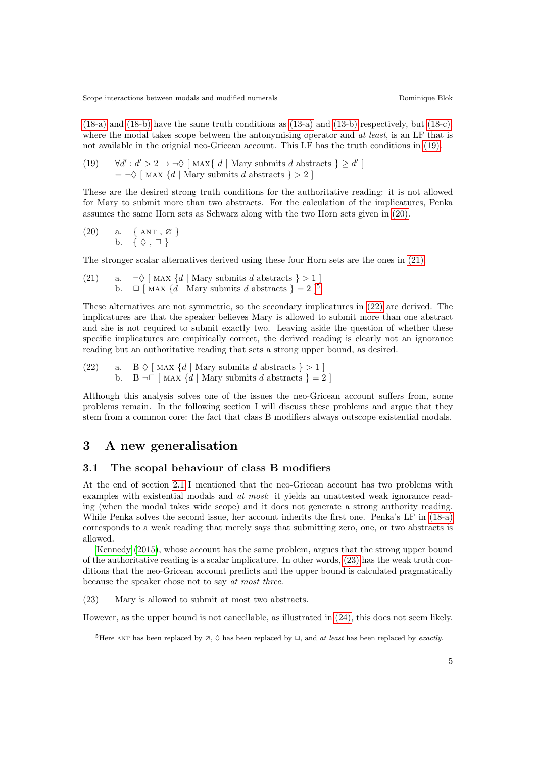[\(18-a\)](#page-3-10) and [\(18-b\)](#page-3-11) have the same truth conditions as [\(13-a\)](#page-3-1) and [\(13-b\)](#page-3-2) respectively, but [\(18-c\),](#page-3-12) where the modal takes scope between the antonymising operator and *at least*, is an LF that is not available in the orignial neo-Gricean account. This LF has the truth conditions in [\(19\).](#page-4-1)

<span id="page-4-1"></span>(19) 
$$
\forall d': d' > 2 \rightarrow \neg \Diamond
$$
 [MAX{ d | Mary submits d abstracts }  $\geq d'$  ] =  $\neg \Diamond$  [MAX { d | Mary submits d abstracts }  $> 2$  ]

These are the desired strong truth conditions for the authoritative reading: it is not allowed for Mary to submit more than two abstracts. For the calculation of the implicatures, Penka assumes the same Horn sets as Schwarz along with the two Horn sets given in [\(20\).](#page-4-2)

<span id="page-4-2"></span>(20) a. 
$$
\{ANT, \varnothing\}
$$
  
b.  $\{\Diamond, \Box\}$ 

The stronger scalar alternatives derived using these four Horn sets are the ones in [\(21\).](#page-4-3)

<span id="page-4-3"></span>(21) a.  $\neg \Diamond$  [MAX  $\{d \mid \text{Mary submits } d \text{ abstracts } \} > 1$ ] b.  $\Box$  [MAX  $\{d \mid \text{Mary submits } d \text{ abstracts } \} = 2 \}$ <sup>[5](#page-4-4)</sup>

These alternatives are not symmetric, so the secondary implicatures in [\(22\)](#page-4-5) are derived. The implicatures are that the speaker believes Mary is allowed to submit more than one abstract and she is not required to submit exactly two. Leaving aside the question of whether these specific implicatures are empirically correct, the derived reading is clearly not an ignorance reading but an authoritative reading that sets a strong upper bound, as desired.

<span id="page-4-5"></span>(22) a. B  $\Diamond$  [MAX {d | Mary submits d abstracts } > 1 ] b. B  $\neg\Box$  [MAX  $\{d \mid \text{Mary submits } d \text{ abstracts } \} = 2$ ]

Although this analysis solves one of the issues the neo-Gricean account suffers from, some problems remain. In the following section I will discuss these problems and argue that they stem from a common core: the fact that class B modifiers always outscope existential modals.

### <span id="page-4-0"></span>3 A new generalisation

### 3.1 The scopal behaviour of class B modifiers

At the end of section [2.1](#page-1-9) I mentioned that the neo-Gricean account has two problems with examples with existential modals and at most: it yields an unattested weak ignorance reading (when the modal takes wide scope) and it does not generate a strong authority reading. While Penka solves the second issue, her account inherits the first one. Penka's LF in [\(18-a\)](#page-3-10) corresponds to a weak reading that merely says that submitting zero, one, or two abstracts is allowed.

[Kennedy](#page-9-5) [\(2015\)](#page-9-5), whose account has the same problem, argues that the strong upper bound of the authoritative reading is a scalar implicature. In other words, [\(23\)](#page-4-6) has the weak truth conditions that the neo-Gricean account predicts and the upper bound is calculated pragmatically because the speaker chose not to say at most three.

<span id="page-4-6"></span>(23) Mary is allowed to submit at most two abstracts.

<span id="page-4-7"></span>However, as the upper bound is not cancellable, as illustrated in [\(24\),](#page-4-7) this does not seem likely.

<span id="page-4-4"></span><sup>&</sup>lt;sup>5</sup>Here ANT has been replaced by  $\emptyset$ ,  $\lozenge$  has been replaced by  $\Box$ , and at least has been replaced by exactly.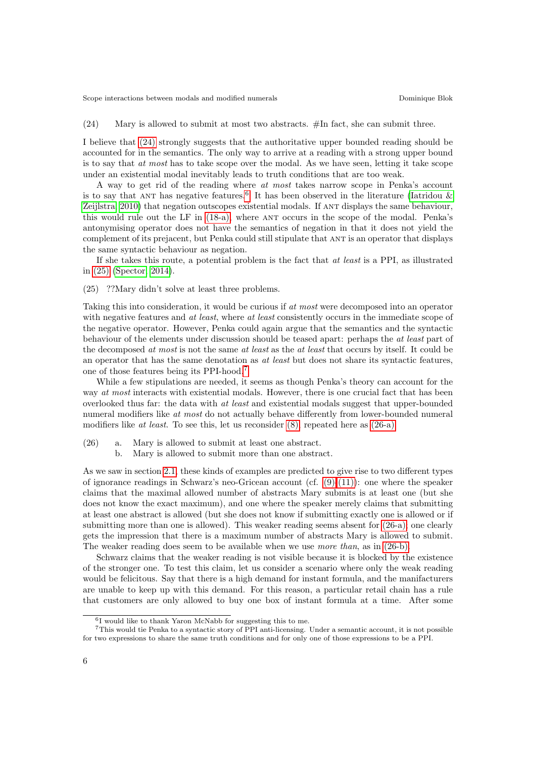#### (24) Mary is allowed to submit at most two abstracts. #In fact, she can submit three.

I believe that [\(24\)](#page-4-7) strongly suggests that the authoritative upper bounded reading should be accounted for in the semantics. The only way to arrive at a reading with a strong upper bound is to say that at most has to take scope over the modal. As we have seen, letting it take scope under an existential modal inevitably leads to truth conditions that are too weak.

A way to get rid of the reading where at most takes narrow scope in Penka's account is to say that ANT has negative features.<sup>[6](#page-5-0)</sup> It has been observed in the literature (Iatridou  $\&$ [Zeijlstra, 2010\)](#page-9-8) that negation outscopes existential modals. If ant displays the same behaviour, this would rule out the LF in [\(18-a\),](#page-3-10) where ant occurs in the scope of the modal. Penka's antonymising operator does not have the semantics of negation in that it does not yield the complement of its prejacent, but Penka could still stipulate that ant is an operator that displays the same syntactic behaviour as negation.

If she takes this route, a potential problem is the fact that at least is a PPI, as illustrated in [\(25\)](#page-5-1) [\(Spector, 2014\)](#page-9-9).

<span id="page-5-1"></span>(25) ??Mary didn't solve at least three problems.

Taking this into consideration, it would be curious if at most were decomposed into an operator with negative features and at least, where at least consistently occurs in the immediate scope of the negative operator. However, Penka could again argue that the semantics and the syntactic behaviour of the elements under discussion should be teased apart: perhaps the *at least* part of the decomposed at most is not the same at least as the at least that occurs by itself. It could be an operator that has the same denotation as *at least* but does not share its syntactic features, one of those features being its PPI-hood.[7](#page-5-2)

While a few stipulations are needed, it seems as though Penka's theory can account for the way at most interacts with existential modals. However, there is one crucial fact that has been overlooked thus far: the data with at least and existential modals suggest that upper-bounded numeral modifiers like at most do not actually behave differently from lower-bounded numeral modifiers like at least. To see this, let us reconsider  $(8)$ , repeated here as  $(26-a)$ .

- <span id="page-5-4"></span><span id="page-5-3"></span>(26) a. Mary is allowed to submit at least one abstract.
	- b. Mary is allowed to submit more than one abstract.

As we saw in section [2.1,](#page-1-9) these kinds of examples are predicted to give rise to two different types of ignorance readings in Schwarz's neo-Gricean account (cf.  $(9)-(11)$ ): one where the speaker claims that the maximal allowed number of abstracts Mary submits is at least one (but she does not know the exact maximum), and one where the speaker merely claims that submitting at least one abstract is allowed (but she does not know if submitting exactly one is allowed or if submitting more than one is allowed). This weaker reading seems absent for [\(26-a\);](#page-5-3) one clearly gets the impression that there is a maximum number of abstracts Mary is allowed to submit. The weaker reading does seem to be available when we use *more than*, as in [\(26-b\).](#page-5-4)

Schwarz claims that the weaker reading is not visible because it is blocked by the existence of the stronger one. To test this claim, let us consider a scenario where only the weak reading would be felicitous. Say that there is a high demand for instant formula, and the manifacturers are unable to keep up with this demand. For this reason, a particular retail chain has a rule that customers are only allowed to buy one box of instant formula at a time. After some

<span id="page-5-2"></span><span id="page-5-0"></span><sup>6</sup> I would like to thank Yaron McNabb for suggesting this to me.

<sup>7</sup>This would tie Penka to a syntactic story of PPI anti-licensing. Under a semantic account, it is not possible for two expressions to share the same truth conditions and for only one of those expressions to be a PPI.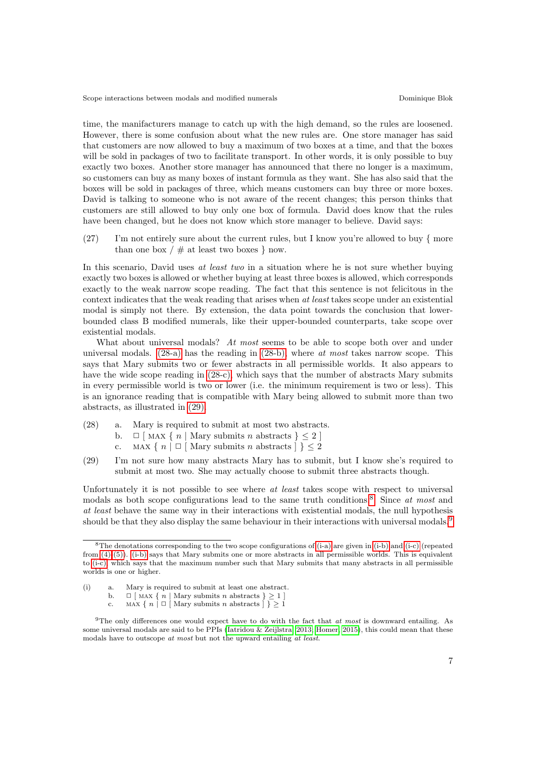time, the manifacturers manage to catch up with the high demand, so the rules are loosened. However, there is some confusion about what the new rules are. One store manager has said that customers are now allowed to buy a maximum of two boxes at a time, and that the boxes will be sold in packages of two to facilitate transport. In other words, it is only possible to buy exactly two boxes. Another store manager has announced that there no longer is a maximum, so customers can buy as many boxes of instant formula as they want. She has also said that the boxes will be sold in packages of three, which means customers can buy three or more boxes. David is talking to someone who is not aware of the recent changes; this person thinks that customers are still allowed to buy only one box of formula. David does know that the rules have been changed, but he does not know which store manager to believe. David says:

(27) I'm not entirely sure about the current rules, but I know you're allowed to buy { more than one box  $/ \#$  at least two boxes  $\}$  now.

In this scenario, David uses at least two in a situation where he is not sure whether buying exactly two boxes is allowed or whether buying at least three boxes is allowed, which corresponds exactly to the weak narrow scope reading. The fact that this sentence is not felicitous in the context indicates that the weak reading that arises when at least takes scope under an existential modal is simply not there. By extension, the data point towards the conclusion that lowerbounded class B modified numerals, like their upper-bounded counterparts, take scope over existential modals.

What about universal modals? At most seems to be able to scope both over and under universal modals.  $(28-a)$  has the reading in  $(28-b)$ , where at most takes narrow scope. This says that Mary submits two or fewer abstracts in all permissible worlds. It also appears to have the wide scope reading in  $(28-c)$ , which says that the number of abstracts Mary submits in every permissible world is two or lower (i.e. the minimum requirement is two or less). This is an ignorance reading that is compatible with Mary being allowed to submit more than two abstracts, as illustrated in [\(29\).](#page-6-3)

- <span id="page-6-1"></span><span id="page-6-0"></span>(28) a. Mary is required to submit at most two abstracts.
	- b.  $\Box$  [MAX { n | Mary submits n abstracts }  $\leq 2$  ]
		- c. MAX {  $n \mid \Box$  [ Mary submits n abstracts ] }  $\leq 2$
- <span id="page-6-3"></span><span id="page-6-2"></span>(29) I'm not sure how many abstracts Mary has to submit, but I know she's required to submit at most two. She may actually choose to submit three abstracts though.

Unfortunately it is not possible to see where *at least* takes scope with respect to universal modals as both scope configurations lead to the same truth conditions.<sup>[8](#page-6-4)</sup> Since at most and at least behave the same way in their interactions with existential modals, the null hypothesis should be that they also display the same behaviour in their interactions with universal modals.<sup>[9](#page-6-5)</sup>

<span id="page-6-4"></span><sup>8</sup>The denotations corresponding to the two scope configurations of [\(i-a\)](#page-6-6) are given in [\(i-b\)](#page-6-7) and [\(i-c\)](#page-6-8) (repeated from [\(4\)-](#page-1-1)[\(5\)\)](#page-1-2). [\(i-b\)](#page-6-7) says that Mary submits one or more abstracts in all permissible worlds. This is equivalent to [\(i-c\),](#page-6-8) which says that the maximum number such that Mary submits that many abstracts in all permissible worlds is one or higher.

<span id="page-6-8"></span><span id="page-6-7"></span><span id="page-6-6"></span><sup>(</sup>i) a. Mary is required to submit at least one abstract.

b.  $\Box$  [ MAX { n | Mary submits n abstracts } > 1 ]

<span id="page-6-5"></span>c. MAX {  $n \mid \Box$  [ Mary submits n abstracts  $\big]$  }  $\geq 1$ 

<sup>&</sup>lt;sup>9</sup>The only differences one would expect have to do with the fact that *at most* is downward entailing. As some universal modals are said to be PPIs [\(Iatridou & Zeijlstra, 2013;](#page-9-10) [Homer, 2015\)](#page-9-11), this could mean that these modals have to outscope at most but not the upward entailing at least.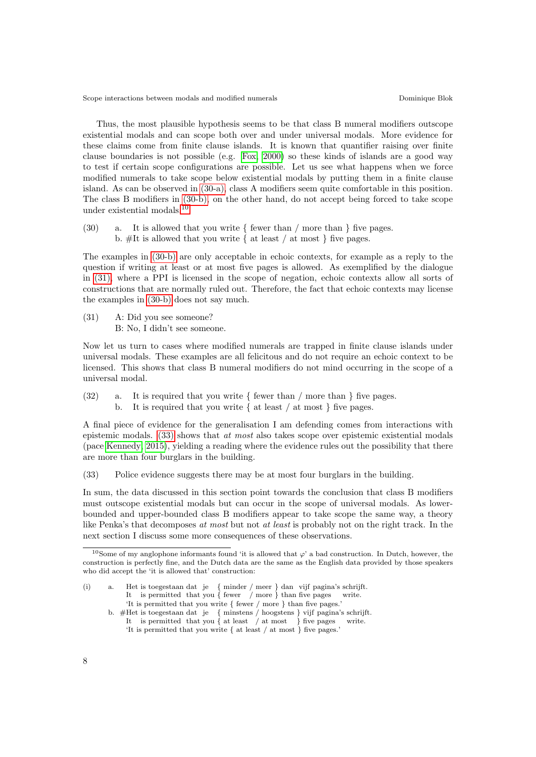Thus, the most plausible hypothesis seems to be that class B numeral modifiers outscope existential modals and can scope both over and under universal modals. More evidence for these claims come from finite clause islands. It is known that quantifier raising over finite clause boundaries is not possible (e.g. [Fox, 2000\)](#page-9-12) so these kinds of islands are a good way to test if certain scope configurations are possible. Let us see what happens when we force modified numerals to take scope below existential modals by putting them in a finite clause island. As can be observed in [\(30-a\),](#page-7-0) class A modifiers seem quite comfortable in this position. The class B modifiers in [\(30-b\),](#page-7-1) on the other hand, do not accept being forced to take scope under existential modals.[10](#page-7-2)

<span id="page-7-1"></span><span id="page-7-0"></span>(30) a. It is allowed that you write  $\{$  fewer than  $\}$  more than  $\}$  five pages. b.  $#$ It is allowed that you write { at least / at most } five pages.

The examples in [\(30-b\)](#page-7-1) are only acceptable in echoic contexts, for example as a reply to the question if writing at least or at most five pages is allowed. As exemplified by the dialogue in [\(31\),](#page-7-3) where a PPI is licensed in the scope of negation, echoic contexts allow all sorts of constructions that are normally ruled out. Therefore, the fact that echoic contexts may license the examples in [\(30-b\)](#page-7-1) does not say much.

<span id="page-7-3"></span>(31) A: Did you see someone? B: No, I didn't see someone.

Now let us turn to cases where modified numerals are trapped in finite clause islands under universal modals. These examples are all felicitous and do not require an echoic context to be licensed. This shows that class B numeral modifiers do not mind occurring in the scope of a universal modal.

(32) a. It is required that you write  $\{$  fewer than  $\}$  more than  $\}$  five pages. b. It is required that you write  $\{$  at least  $\}$  at most  $\}$  five pages.

A final piece of evidence for the generalisation I am defending comes from interactions with epistemic modals. [\(33\)](#page-7-4) shows that at most also takes scope over epistemic existential modals (pace [Kennedy, 2015\)](#page-9-5), yielding a reading where the evidence rules out the possibility that there are more than four burglars in the building.

<span id="page-7-4"></span>(33) Police evidence suggests there may be at most four burglars in the building.

In sum, the data discussed in this section point towards the conclusion that class B modifiers must outscope existential modals but can occur in the scope of universal modals. As lowerbounded and upper-bounded class B modifiers appear to take scope the same way, a theory like Penka's that decomposes at most but not at least is probably not on the right track. In the next section I discuss some more consequences of these observations.

<span id="page-7-2"></span><sup>&</sup>lt;sup>10</sup>Some of my anglophone informants found 'it is allowed that  $\varphi$ ' a bad construction. In Dutch, however, the construction is perfectly fine, and the Dutch data are the same as the English data provided by those speakers who did accept the 'it is allowed that' construction:

<sup>(</sup>i) a. Het is toegestaan dat je { minder / meer } dan vijf pagina's schrijft. It is permitted that you { fewer / more } than five pages write. 'It is permitted that you write { fewer / more } than five pages.'

b. #Het is toegestaan dat je { minstens / hoogstens } vijf pagina's schrijft. It is permitted that you { at least / at most } five pages write. 'It is permitted that you write { at least / at most } five pages.'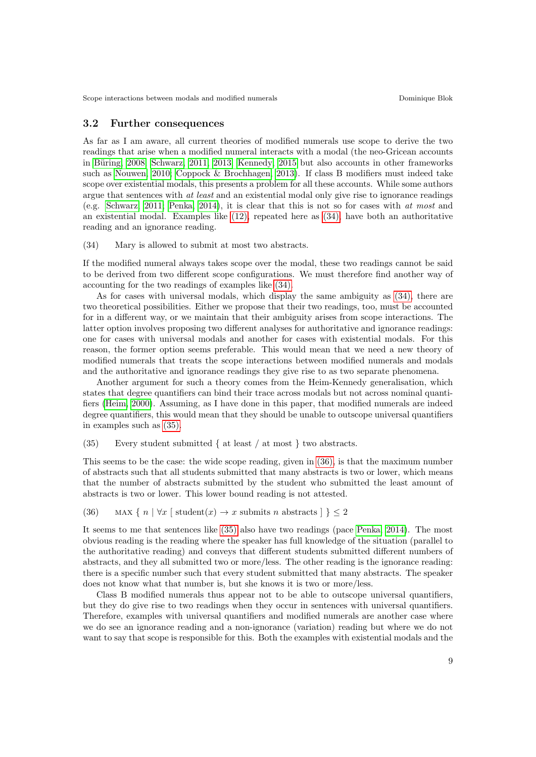### 3.2 Further consequences

As far as I am aware, all current theories of modified numerals use scope to derive the two readings that arise when a modified numeral interacts with a modal (the neo-Gricean accounts in Büring, 2008; [Schwarz, 2011,](#page-9-2) [2013;](#page-9-14) [Kennedy, 2015](#page-9-5) but also accounts in other frameworks such as [Nouwen, 2010;](#page-9-1) [Coppock & Brochhagen, 2013\)](#page-9-3). If class B modifiers must indeed take scope over existential modals, this presents a problem for all these accounts. While some authors argue that sentences with *at least* and an existential modal only give rise to ignorance readings (e.g. [Schwarz, 2011;](#page-9-2) [Penka, 2014\)](#page-9-4), it is clear that this is not so for cases with at most and an existential modal. Examples like [\(12\),](#page-2-7) repeated here as [\(34\),](#page-8-0) have both an authoritative reading and an ignorance reading.

<span id="page-8-0"></span>(34) Mary is allowed to submit at most two abstracts.

If the modified numeral always takes scope over the modal, these two readings cannot be said to be derived from two different scope configurations. We must therefore find another way of accounting for the two readings of examples like [\(34\).](#page-8-0)

As for cases with universal modals, which display the same ambiguity as [\(34\),](#page-8-0) there are two theoretical possibilities. Either we propose that their two readings, too, must be accounted for in a different way, or we maintain that their ambiguity arises from scope interactions. The latter option involves proposing two different analyses for authoritative and ignorance readings: one for cases with universal modals and another for cases with existential modals. For this reason, the former option seems preferable. This would mean that we need a new theory of modified numerals that treats the scope interactions between modified numerals and modals and the authoritative and ignorance readings they give rise to as two separate phenomena.

Another argument for such a theory comes from the Heim-Kennedy generalisation, which states that degree quantifiers can bind their trace across modals but not across nominal quantifiers [\(Heim, 2000\)](#page-9-15). Assuming, as I have done in this paper, that modified numerals are indeed degree quantifiers, this would mean that they should be unable to outscope universal quantifiers in examples such as [\(35\).](#page-8-1)

<span id="page-8-1"></span> $(35)$  Every student submitted { at least / at most } two abstracts.

This seems to be the case: the wide scope reading, given in [\(36\),](#page-8-2) is that the maximum number of abstracts such that all students submitted that many abstracts is two or lower, which means that the number of abstracts submitted by the student who submitted the least amount of abstracts is two or lower. This lower bound reading is not attested.

### <span id="page-8-2"></span>(36) MAX {  $n | \forall x$  [ student $(x) \rightarrow x$  submits n abstracts  $| \} \leq 2$

It seems to me that sentences like [\(35\)](#page-8-1) also have two readings (pace [Penka, 2014\)](#page-9-4). The most obvious reading is the reading where the speaker has full knowledge of the situation (parallel to the authoritative reading) and conveys that different students submitted different numbers of abstracts, and they all submitted two or more/less. The other reading is the ignorance reading: there is a specific number such that every student submitted that many abstracts. The speaker does not know what that number is, but she knows it is two or more/less.

Class B modified numerals thus appear not to be able to outscope universal quantifiers, but they do give rise to two readings when they occur in sentences with universal quantifiers. Therefore, examples with universal quantifiers and modified numerals are another case where we do see an ignorance reading and a non-ignorance (variation) reading but where we do not want to say that scope is responsible for this. Both the examples with existential modals and the